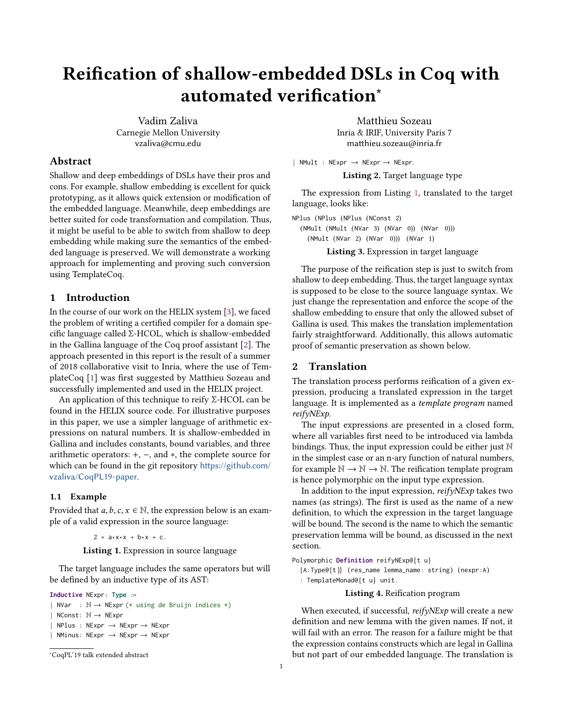# Reification of shallow-embedded DSLs in Coq with automated verification<sup>∗</sup>

Vadim Zaliva Carnegie Mellon University vzaliva@cmu.edu

## Abstract

Shallow and deep embeddings of DSLs have their pros and cons. For example, shallow embedding is excellent for quick prototyping, as it allows quick extension or modification of the embedded language. Meanwhile, deep embeddings are better suited for code transformation and compilation. Thus, it might be useful to be able to switch from shallow to deep embedding while making sure the semantics of the embedded language is preserved. We will demonstrate a working approach for implementing and proving such conversion using TemplateCoq.

#### 1 Introduction

In the course of our work on the HELIX system [\[3\]](#page-2-0), we faced the problem of writing a certified compiler for a domain specific language called Σ-HCOL, which is shallow-embedded in the Gallina language of the Coq proof assistant [\[2\]](#page-2-1). The approach presented in this report is the result of a summer of 2018 collaborative visit to Inria, where the use of TemplateCoq [\[1\]](#page-2-2) was first suggested by Matthieu Sozeau and successfully implemented and used in the HELIX project.

An application of this technique to reify Σ-HCOL can be found in the HELIX source code. For illustrative purposes in this paper, we use a simpler language of arithmetic expressions on natural numbers. It is shallow-embedded in Gallina and includes constants, bound variables, and three arithmetic operators: +, −, and ∗, the complete source for which can be found in the git repository [https://github.com/](https://github.com/vzaliva/CoqPL19-paper) [vzaliva/CoqPL19-paper](https://github.com/vzaliva/CoqPL19-paper).

#### 1.1 Example

<span id="page-0-0"></span>Provided that  $a, b, c, x \in \mathbb{N}$ , the expression below is an example of a valid expression in the source language:

 $2 + a * x * x + b * x + c$ .

Listing 1. Expression in source language

The target language includes the same operators but will be defined by an inductive type of its AST:

```
Inductive NExpr : Type :=
| NVar : \mathbb{N} \rightarrow \mathbb{N}Expr (* using de Bruijn indices *)
  NConst: N \rightarrow NExprNPlus : NExpr \rightarrow NExpr \rightarrow NExprNMinus: NExpr \rightarrow NExpr \rightarrow NExpr
```
<sup>∗</sup>CoqPL'19 talk extended abstract

Matthieu Sozeau Inria & IRIF, University Paris 7 matthieu.sozeau@inria.fr

| NMult : NExpr → NExpr → NExpr.

Listing 2. Target language type

The expression from Listing [1,](#page-0-0) translated to the target language, looks like:

<span id="page-0-1"></span>NPlus (NPlus (NPlus (NConst 2) (NMult (NMult (NVar 3) (NVar 0)) (NVar 0))) (NMult (NVar 2) (NVar 0))) (NVar 1)

Listing 3. Expression in target language

The purpose of the reification step is just to switch from shallow to deep embedding. Thus, the target language syntax is supposed to be close to the source language syntax. We just change the representation and enforce the scope of the shallow embedding to ensure that only the allowed subset of Gallina is used. This makes the translation implementation fairly straightforward. Additionally, this allows automatic proof of semantic preservation as shown below.

#### 2 Translation

The translation process performs reification of a given expression, producing a translated expression in the target language. It is implemented as a template program named reifyNExp.

The input expressions are presented in a closed form, where all variables first need to be introduced via lambda bindings. Thus, the input expression could be either just N in the simplest case or an n-ary function of natural numbers, for example  $\mathbb{N} \to \mathbb{N} \to \mathbb{N}$ . The reification template program is hence polymorphic on the input type expression.

In addition to the input expression,  $reifyNExp$  takes two names (as strings). The first is used as the name of a new definition, to which the expression in the target language will be bound. The second is the name to which the semantic preservation lemma will be bound, as discussed in the next section.

Polymorphic **Definition** reifyNExp@{t u}

{A : Type@{t }} (res\_name lemma\_name : string) (nexpr : A) : TemplateMonad@{t u} unit .

#### Listing 4. Reification program

When executed, if successful, reifyNExp will create a new definition and new lemma with the given names. If not, it will fail with an error. The reason for a failure might be that the expression contains constructs which are legal in Gallina but not part of our embedded language. The translation is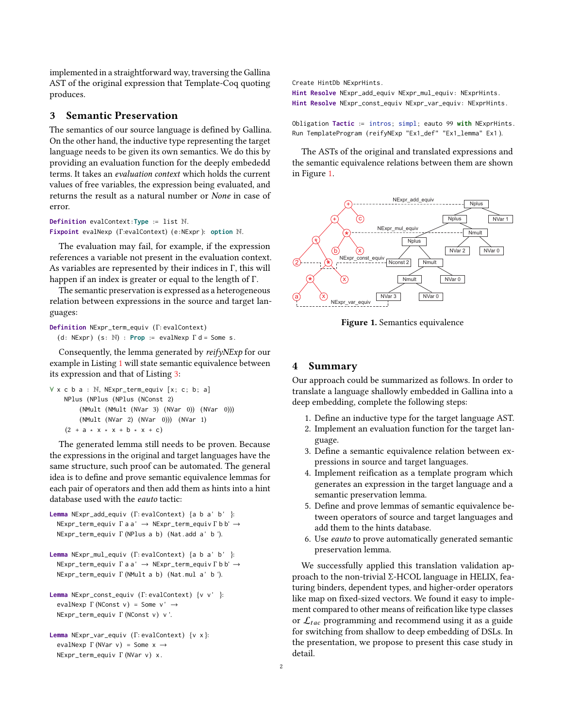implemented in a straightforward way, traversing the Gallina AST of the original expression that Template-Coq quoting produces.

### 3 Semantic Preservation

The semantics of our source language is defined by Gallina. On the other hand, the inductive type representing the target language needs to be given its own semantics. We do this by providing an evaluation function for the deeply embededd terms. It takes an evaluation context which holds the current values of free variables, the expression being evaluated, and returns the result as a natural number or None in case of error.

**Definition** evalContext : **Type** := list N. **Fixpoint** evalNexp ( Γ:evalContext) (<sup>e</sup> : NExpr ): **option** <sup>N</sup>.

The evaluation may fail, for example, if the expression references a variable not present in the evaluation context. As variables are represented by their indices in Γ, this will happen if an index is greater or equal to the length of Γ.

The semantic preservation is expressed as a heterogeneous relation between expressions in the source and target languages:

**Definition** NExpr\_term\_equiv ( Γ: evalContext) (d: NExpr)  $(s: \mathbb{N})$  : **Prop** := evalNexp  $\Gamma$  d = Some s.

Consequently, the lemma generated by reifyNExp for our example in Listing [1](#page-0-0) will state semantic equivalence between its expression and that of Listing [3:](#page-0-1)

```
∀ x c b a : N, NExpr_term_equiv [x ; c ; b ; a]
    NPlus (NPlus (NPlus (NConst 2)
        (NMult (NMult (NVar 3) (NVar 0)) (NVar 0)))
        (NMult (NVar 2) (NVar 0))) (NVar 1)
    (2 + a * x * x + b * x + c)
```
The generated lemma still needs to be proven. Because the expressions in the original and target languages have the same structure, such proof can be automated. The general idea is to define and prove semantic equivalence lemmas for each pair of operators and then add them as hints into a hint database used with the eauto tactic:

```
Lemma NExpr_add_equiv ( Γ: evalContext) {a b a ' b ' }:
  NExpr_term_equiv Γ a a ' → NExpr_term_equiv Γ b b' →
  NExpr_term_equiv Γ (NPlus a b) (Nat . add a ' b ').
```
**Lemma** NExpr\_mul\_equiv ( Γ: evalContext) {<sup>a</sup> <sup>b</sup> <sup>a</sup> ' <sup>b</sup> ' }: NExpr\_term\_equiv Γ <sup>a</sup> <sup>a</sup> ' <sup>→</sup> NExpr\_term\_equiv Γ <sup>b</sup> <sup>b</sup>' <sup>→</sup> NExpr\_term\_equiv Γ (NMult <sup>a</sup> <sup>b</sup>) (Nat . mul <sup>a</sup> ' <sup>b</sup> ').

```
Lemma NExpr_const_equiv ( Γ: evalContext) {v v ' }:
  evalNexp \Gamma (NConst v) = Some v' \rightarrowNExpr_term_equiv Γ (NConst v) v '.
```

```
Lemma NExpr_var_equiv ( Γ: evalContext) {v x }:
  evalNexp \Gamma (NVar v) = Some x \rightarrowNExpr_term_equiv Γ (NVar v) x .
```
Create HintDb NExprHints .

**Hint Resolve** NExpr\_add\_equiv NExpr\_mul\_equiv : NExprHints . **Hint Resolve** NExpr\_const\_equiv NExpr\_var\_equiv : NExprHints .

Obligation **Tactic** := intros; simpl; eauto 99 with NExprHints. Run TemplateProgram (reifyNExp "Ex1\_def" "Ex1\_lemma" Ex1 ).

The ASTs of the original and translated expressions and the semantic equivalence relations between them are shown in Figure [1.](#page-1-0)

<span id="page-1-0"></span>

Figure 1. Semantics equivalence

#### 4 Summary

Our approach could be summarized as follows. In order to translate a language shallowly embedded in Gallina into a deep embedding, complete the following steps:

- 1. Define an inductive type for the target language AST.
- 2. Implement an evaluation function for the target language.
- 3. Define a semantic equivalence relation between expressions in source and target languages.
- 4. Implement reification as a template program which generates an expression in the target language and a semantic preservation lemma.
- 5. Define and prove lemmas of semantic equivalence between operators of source and target languages and add them to the hints database.
- 6. Use eauto to prove automatically generated semantic preservation lemma.

We successfully applied this translation validation approach to the non-trivial Σ-HCOL language in HELIX, featuring binders, dependent types, and higher-order operators like map on fixed-sized vectors. We found it easy to implement compared to other means of reification like type classes or  $\mathcal{L}_{tac}$  programming and recommend using it as a guide for switching from shallow to deep embedding of DSLs. In the presentation, we propose to present this case study in detail.